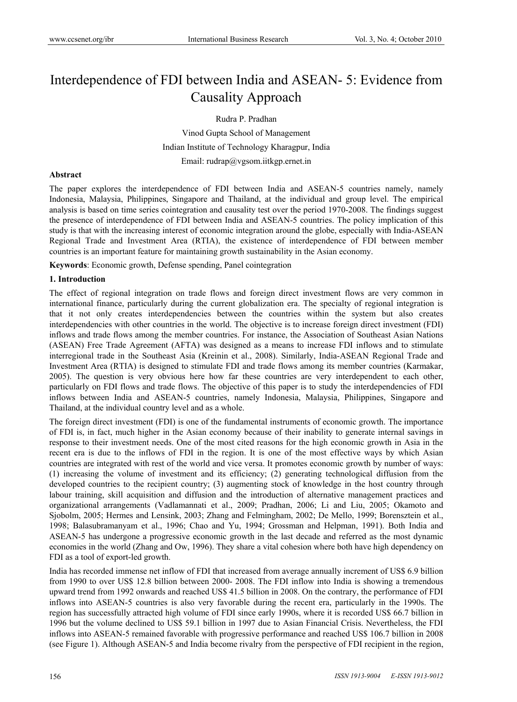# Interdependence of FDI between India and ASEAN- 5: Evidence from Causality Approach

Rudra P. Pradhan Vinod Gupta School of Management Indian Institute of Technology Kharagpur, India Email: rudrap@vgsom.iitkgp.ernet.in

## **Abstract**

The paper explores the interdependence of FDI between India and ASEAN-5 countries namely, namely Indonesia, Malaysia, Philippines, Singapore and Thailand, at the individual and group level. The empirical analysis is based on time series cointegration and causality test over the period 1970-2008. The findings suggest the presence of interdependence of FDI between India and ASEAN-5 countries. The policy implication of this study is that with the increasing interest of economic integration around the globe, especially with India-ASEAN Regional Trade and Investment Area (RTIA), the existence of interdependence of FDI between member countries is an important feature for maintaining growth sustainability in the Asian economy.

**Keywords**: Economic growth, Defense spending, Panel cointegration

## **1. Introduction**

The effect of regional integration on trade flows and foreign direct investment flows are very common in international finance, particularly during the current globalization era. The specialty of regional integration is that it not only creates interdependencies between the countries within the system but also creates interdependencies with other countries in the world. The objective is to increase foreign direct investment (FDI) inflows and trade flows among the member countries. For instance, the Association of Southeast Asian Nations (ASEAN) Free Trade Agreement (AFTA) was designed as a means to increase FDI inflows and to stimulate interregional trade in the Southeast Asia (Kreinin et al., 2008). Similarly, India-ASEAN Regional Trade and Investment Area (RTIA) is designed to stimulate FDI and trade flows among its member countries (Karmakar, 2005). The question is very obvious here how far these countries are very interdependent to each other, particularly on FDI flows and trade flows. The objective of this paper is to study the interdependencies of FDI inflows between India and ASEAN-5 countries, namely Indonesia, Malaysia, Philippines, Singapore and Thailand, at the individual country level and as a whole.

The foreign direct investment (FDI) is one of the fundamental instruments of economic growth. The importance of FDI is, in fact, much higher in the Asian economy because of their inability to generate internal savings in response to their investment needs. One of the most cited reasons for the high economic growth in Asia in the recent era is due to the inflows of FDI in the region. It is one of the most effective ways by which Asian countries are integrated with rest of the world and vice versa. It promotes economic growth by number of ways: (1) increasing the volume of investment and its efficiency; (2) generating technological diffusion from the developed countries to the recipient country; (3) augmenting stock of knowledge in the host country through labour training, skill acquisition and diffusion and the introduction of alternative management practices and organizational arrangements (Vadlamannati et al., 2009; Pradhan, 2006; Li and Liu, 2005; Okamoto and Sjobolm, 2005; Hermes and Lensink, 2003; Zhang and Felmingham, 2002; De Mello, 1999; Borensztein et al., 1998; Balasubramanyam et al., 1996; Chao and Yu, 1994; Grossman and Helpman, 1991). Both India and ASEAN-5 has undergone a progressive economic growth in the last decade and referred as the most dynamic economies in the world (Zhang and Ow, 1996). They share a vital cohesion where both have high dependency on FDI as a tool of export-led growth.

India has recorded immense net inflow of FDI that increased from average annually increment of US\$ 6.9 billion from 1990 to over US\$ 12.8 billion between 2000- 2008. The FDI inflow into India is showing a tremendous upward trend from 1992 onwards and reached US\$ 41.5 billion in 2008. On the contrary, the performance of FDI inflows into ASEAN-5 countries is also very favorable during the recent era, particularly in the 1990s. The region has successfully attracted high volume of FDI since early 1990s, where it is recorded US\$ 66.7 billion in 1996 but the volume declined to US\$ 59.1 billion in 1997 due to Asian Financial Crisis. Nevertheless, the FDI inflows into ASEAN-5 remained favorable with progressive performance and reached US\$ 106.7 billion in 2008 (see Figure 1). Although ASEAN-5 and India become rivalry from the perspective of FDI recipient in the region,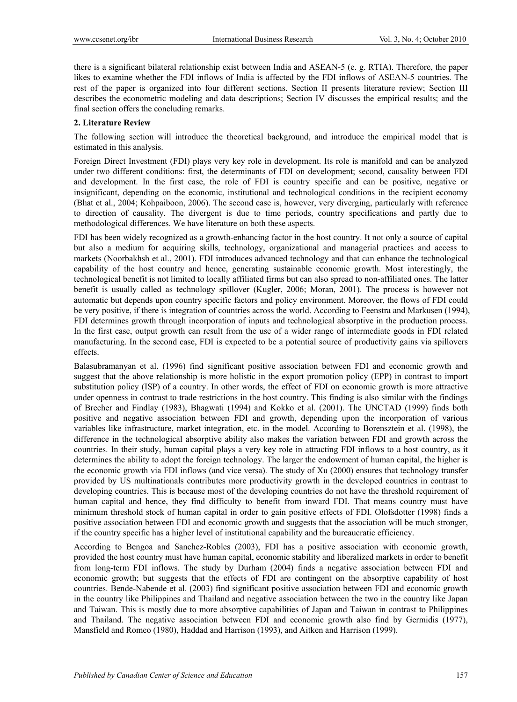there is a significant bilateral relationship exist between India and ASEAN-5 (e. g. RTIA). Therefore, the paper likes to examine whether the FDI inflows of India is affected by the FDI inflows of ASEAN-5 countries. The rest of the paper is organized into four different sections. Section II presents literature review; Section III describes the econometric modeling and data descriptions; Section IV discusses the empirical results; and the final section offers the concluding remarks.

# **2. Literature Review**

The following section will introduce the theoretical background, and introduce the empirical model that is estimated in this analysis.

Foreign Direct Investment (FDI) plays very key role in development. Its role is manifold and can be analyzed under two different conditions: first, the determinants of FDI on development; second, causality between FDI and development. In the first case, the role of FDI is country specific and can be positive, negative or insignificant, depending on the economic, institutional and technological conditions in the recipient economy (Bhat et al., 2004; Kohpaiboon, 2006). The second case is, however, very diverging, particularly with reference to direction of causality. The divergent is due to time periods, country specifications and partly due to methodological differences. We have literature on both these aspects.

FDI has been widely recognized as a growth-enhancing factor in the host country. It not only a source of capital but also a medium for acquiring skills, technology, organizational and managerial practices and access to markets (Noorbakhsh et al., 2001). FDI introduces advanced technology and that can enhance the technological capability of the host country and hence, generating sustainable economic growth. Most interestingly, the technological benefit is not limited to locally affiliated firms but can also spread to non-affiliated ones. The latter benefit is usually called as technology spillover (Kugler, 2006; Moran, 2001). The process is however not automatic but depends upon country specific factors and policy environment. Moreover, the flows of FDI could be very positive, if there is integration of countries across the world. According to Feenstra and Markusen (1994), FDI determines growth through incorporation of inputs and technological absorptive in the production process. In the first case, output growth can result from the use of a wider range of intermediate goods in FDI related manufacturing. In the second case, FDI is expected to be a potential source of productivity gains via spillovers effects.

Balasubramanyan et al. (1996) find significant positive association between FDI and economic growth and suggest that the above relationship is more holistic in the export promotion policy (EPP) in contrast to import substitution policy (ISP) of a country. In other words, the effect of FDI on economic growth is more attractive under openness in contrast to trade restrictions in the host country. This finding is also similar with the findings of Brecher and Findlay (1983), Bhagwati (1994) and Kokko et al. (2001). The UNCTAD (1999) finds both positive and negative association between FDI and growth, depending upon the incorporation of various variables like infrastructure, market integration, etc. in the model. According to Borensztein et al. (1998), the difference in the technological absorptive ability also makes the variation between FDI and growth across the countries. In their study, human capital plays a very key role in attracting FDI inflows to a host country, as it determines the ability to adopt the foreign technology. The larger the endowment of human capital, the higher is the economic growth via FDI inflows (and vice versa). The study of Xu (2000) ensures that technology transfer provided by US multinationals contributes more productivity growth in the developed countries in contrast to developing countries. This is because most of the developing countries do not have the threshold requirement of human capital and hence, they find difficulty to benefit from inward FDI. That means country must have minimum threshold stock of human capital in order to gain positive effects of FDI. Olofsdotter (1998) finds a positive association between FDI and economic growth and suggests that the association will be much stronger, if the country specific has a higher level of institutional capability and the bureaucratic efficiency.

According to Bengoa and Sanchez-Robles (2003), FDI has a positive association with economic growth, provided the host country must have human capital, economic stability and liberalized markets in order to benefit from long-term FDI inflows. The study by Durham (2004) finds a negative association between FDI and economic growth; but suggests that the effects of FDI are contingent on the absorptive capability of host countries. Bende-Nabende et al. (2003) find significant positive association between FDI and economic growth in the country like Philippines and Thailand and negative association between the two in the country like Japan and Taiwan. This is mostly due to more absorptive capabilities of Japan and Taiwan in contrast to Philippines and Thailand. The negative association between FDI and economic growth also find by Germidis (1977), Mansfield and Romeo (1980), Haddad and Harrison (1993), and Aitken and Harrison (1999).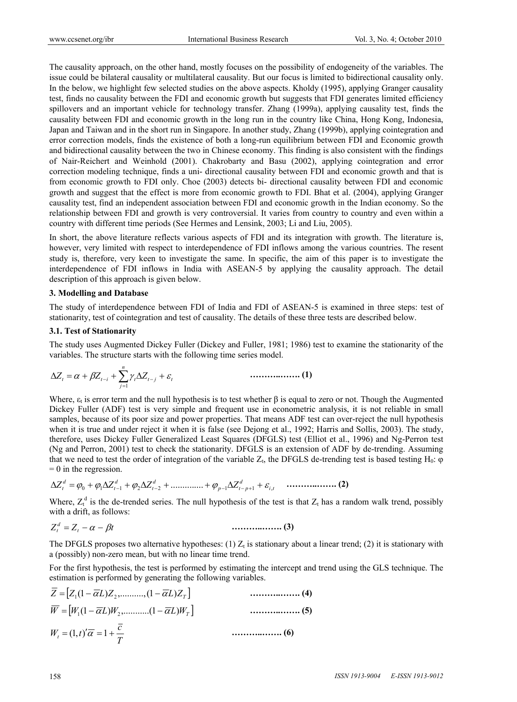The causality approach, on the other hand, mostly focuses on the possibility of endogeneity of the variables. The issue could be bilateral causality or multilateral causality. But our focus is limited to bidirectional causality only. In the below, we highlight few selected studies on the above aspects. Kholdy (1995), applying Granger causality test, finds no causality between the FDI and economic growth but suggests that FDI generates limited efficiency spillovers and an important vehicle for technology transfer. Zhang (1999a), applying causality test, finds the causality between FDI and economic growth in the long run in the country like China, Hong Kong, Indonesia, Japan and Taiwan and in the short run in Singapore. In another study, Zhang (1999b), applying cointegration and error correction models, finds the existence of both a long-run equilibrium between FDI and Economic growth and bidirectional causality between the two in Chinese economy. This finding is also consistent with the findings of Nair-Reichert and Weinhold (2001). Chakrobarty and Basu (2002), applying cointegration and error correction modeling technique, finds a uni- directional causality between FDI and economic growth and that is from economic growth to FDI only. Choe (2003) detects bi- directional causality between FDI and economic growth and suggest that the effect is more from economic growth to FDI. Bhat et al. (2004), applying Granger causality test, find an independent association between FDI and economic growth in the Indian economy. So the relationship between FDI and growth is very controversial. It varies from country to country and even within a country with different time periods (See Hermes and Lensink, 2003; Li and Liu, 2005).

In short, the above literature reflects various aspects of FDI and its integration with growth. The literature is, however, very limited with respect to interdependence of FDI inflows among the various countries. The resent study is, therefore, very keen to investigate the same. In specific, the aim of this paper is to investigate the interdependence of FDI inflows in India with ASEAN-5 by applying the causality approach. The detail description of this approach is given below.

## **3. Modelling and Database**

The study of interdependence between FDI of India and FDI of ASEAN-5 is examined in three steps: test of stationarity, test of cointegration and test of causality. The details of these three tests are described below.

## **3.1. Test of Stationarity**

The study uses Augmented Dickey Fuller (Dickey and Fuller, 1981; 1986) test to examine the stationarity of the variables. The structure starts with the following time series model.

$$
\Delta Z_t = \alpha + \beta Z_{t-i} + \sum_{j=1}^n \gamma_t \Delta Z_{t-j} + \varepsilon_t \qquad \qquad \dots \dots \dots \dots \dots \dots \dots \tag{1}
$$

Where,  $\varepsilon_t$  is error term and the null hypothesis is to test whether  $\beta$  is equal to zero or not. Though the Augmented Dickey Fuller (ADF) test is very simple and frequent use in econometric analysis, it is not reliable in small samples, because of its poor size and power properties. That means ADF test can over-reject the null hypothesis when it is true and under reject it when it is false (see Dejong et al., 1992; Harris and Sollis, 2003). The study, therefore, uses Dickey Fuller Generalized Least Squares (DFGLS) test (Elliot et al., 1996) and Ng-Perron test (Ng and Perron, 2001) test to check the stationarity. DFGLS is an extension of ADF by de-trending. Assuming that we need to test the order of integration of the variable  $Z_t$ , the DFGLS de-trending test is based testing H<sub>0</sub>:  $\varphi$  $= 0$  in the regression.

$$
\Delta Z_t^d = \varphi_0 + \varphi_1 \Delta Z_{t-1}^d + \varphi_2 \Delta Z_{t-2}^d + \dots + \varphi_{p-1} \Delta Z_{t-p+1}^d + \varepsilon_{i,t} \quad \dots \dots \dots \dots \dots \dots \dots \tag{2}
$$

Where,  $Z_t^d$  is the de-trended series. The null hypothesis of the test is that  $Z_t$  has a random walk trend, possibly with a drift, as follows:

$$
Z_t^d = Z_t - \alpha - \beta t \tag{3}
$$

The DFGLS proposes two alternative hypotheses: (1)  $Z_t$  is stationary about a linear trend; (2) it is stationary with a (possibly) non-zero mean, but with no linear time trend.

For the first hypothesis, the test is performed by estimating the intercept and trend using the GLS technique. The estimation is performed by generating the following variables.

$$
\overline{Z} = [Z_1(1 - \overline{\alpha}L)Z_2, \dots, (1 - \overline{\alpha}L)Z_T]
$$
\n(4)  
\n
$$
\overline{W} = [W_1(1 - \overline{\alpha}L)W_2, \dots, (1 - \overline{\alpha}L)W_T]
$$
\n(5)  
\n
$$
W_t = (1, t)'\overline{\alpha} = 1 + \frac{\overline{c}}{T}
$$
\n(6)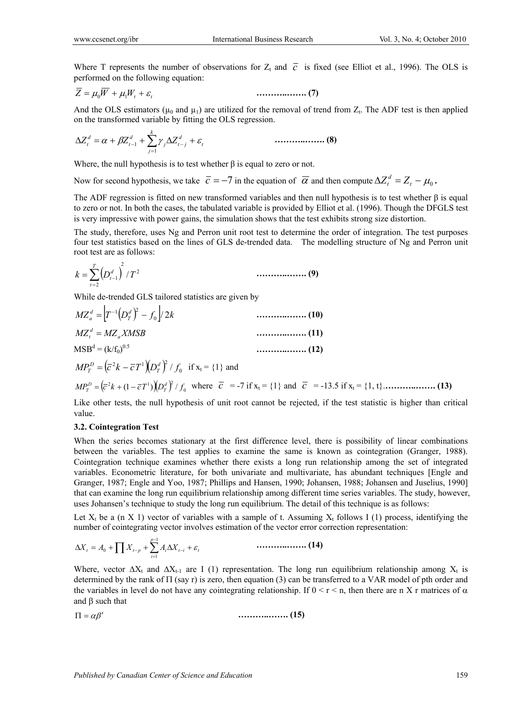Where T represents the number of observations for  $Z_t$  and  $\overline{c}$  is fixed (see Elliot et al., 1996). The OLS is performed on the following equation:

$$
Z = \mu_0 W + \mu_1 W_t + \varepsilon_t \tag{7}
$$

And the OLS estimators ( $\mu_0$  and  $\mu_1$ ) are utilized for the removal of trend from  $Z_t$ . The ADF test is then applied on the transformed variable by fitting the OLS regression.

$$
\Delta Z_t^d = \alpha + \beta Z_{t-1}^d + \sum_{j=1}^k \gamma_j \Delta Z_{t-j}^d + \varepsilon_t \qquad \qquad \dots \dots \dots \dots \dots \dots \tag{8}
$$

Where, the null hypothesis is to test whether  $\beta$  is equal to zero or not.

Now for second hypothesis, we take  $\bar{c} = -7$  in the equation of  $\bar{\alpha}$  and then compute  $\Delta Z_t^d = Z_t - \mu_0$ .

The ADF regression is fitted on new transformed variables and then null hypothesis is to test whether  $\beta$  is equal to zero or not. In both the cases, the tabulated variable is provided by Elliot et al. (1996). Though the DFGLS test is very impressive with power gains, the simulation shows that the test exhibits strong size distortion.

The study, therefore, uses Ng and Perron unit root test to determine the order of integration. The test purposes four test statistics based on the lines of GLS de-trended data. The modelling structure of Ng and Perron unit root test are as follows:

$$
k = \sum_{t=2}^{T} \left( D_{t-1}^{d} \right)^{2} / T^{2} \qquad \qquad \dots \dots \dots \dots \dots \dots \dots \dots \tag{9}
$$

While de-trended GLS tailored statistics are given by

$$
MZ_{a}^{d} = [T^{-1}(D_{T}^{d})^{2} - f_{0}] / 2k
$$
................. (10)  
\n
$$
MZ_{t}^{d} = MZ_{a}XMSB
$$
................. (11)  
\n
$$
MSB^{d} = (k/f_{0})^{0.5}
$$
................. (12)  
\n
$$
MP_{T}^{D} = (\overline{c}^{2}k - \overline{c}T^{1})(D_{T}^{d})^{2} / f_{0} \text{ if } x_{t} = \{1\} \text{ and}
$$

$$
MP_T^D = (\overline{c}^2 k + (1 - \overline{c}T^1) (D_T^d)^2 / f_0 \text{ where } \overline{c} = -7 \text{ if } x_t = \{1\} \text{ and } \overline{c} = -13.5 \text{ if } x_t = \{1, t\} \dots \dots \dots \dots \dots \dots \dots \tag{13}
$$

Like other tests, the null hypothesis of unit root cannot be rejected, if the test statistic is higher than critical value.

#### **3.2. Cointegration Test**

When the series becomes stationary at the first difference level, there is possibility of linear combinations between the variables. The test applies to examine the same is known as cointegration (Granger, 1988). Cointegration technique examines whether there exists a long run relationship among the set of integrated variables. Econometric literature, for both univariate and multivariate, has abundant techniques [Engle and Granger, 1987; Engle and Yoo, 1987; Phillips and Hansen, 1990; Johansen, 1988; Johansen and Juselius, 1990] that can examine the long run equilibrium relationship among different time series variables. The study, however, uses Johansen's technique to study the long run equilibrium. The detail of this technique is as follows:

Let  $X_t$  be a (n X 1) vector of variables with a sample of t. Assuming  $X_t$  follows I (1) process, identifying the number of cointegrating vector involves estimation of the vector error correction representation:

$$
\Delta X_{t} = A_{0} + \prod X_{t-p} + \sum_{i=1}^{p-1} A_{i} \Delta X_{t-i} + \varepsilon_{t}
$$
 (14)

Where, vector  $\Delta X_t$  and  $\Delta X_{t-1}$  are I (1) representation. The long run equilibrium relationship among  $X_t$  is determined by the rank of  $\Pi$  (say r) is zero, then equation (3) can be transferred to a VAR model of pth order and the variables in level do not have any cointegrating relationship. If  $0 \le r \le n$ , then there are n X r matrices of  $\alpha$ and  $\beta$  such that

$$
\Pi = \alpha \beta' \tag{15}
$$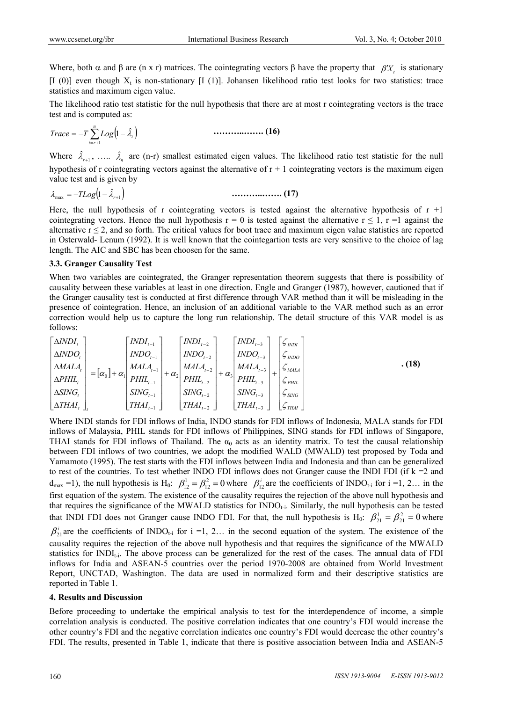Where, both  $\alpha$  and  $\beta$  are (n x r) matrices. The cointegrating vectors  $\beta$  have the property that  $\beta'X$ , is stationary  $[I(0)]$  even though  $X_t$  is non-stationary  $[I(1)]$ . Johansen likelihood ratio test looks for two statistics: trace statistics and maximum eigen value.

The likelihood ratio test statistic for the null hypothesis that there are at most r cointegrating vectors is the trace test and is computed as:

Trace = 
$$
-T \sum_{i=r+1}^{n} Log(1-\hat{\lambda}_i)
$$
 (16)

Where  $\hat{\lambda}_{r+1}$ , ...  $\hat{\lambda}_n$  are (n-r) smallest estimated eigen values. The likelihood ratio test statistic for the null hypothesis of r cointegrating vectors against the alternative of  $r + 1$  cointegrating vectors is the maximum eigen value test and is given by

$$
\lambda_{\max} = -TLog\left(1 - \hat{\lambda}_{r+1}\right) \tag{17}
$$

Here, the null hypothesis of r cointegrating vectors is tested against the alternative hypothesis of  $r +1$ cointegrating vectors. Hence the null hypothesis  $r = 0$  is tested against the alternative  $r \le 1$ ,  $r = 1$  against the alternative  $r \le 2$ , and so forth. The critical values for boot trace and maximum eigen value statistics are reported in Osterwald- Lenum (1992). It is well known that the cointegartion tests are very sensitive to the choice of lag length. The AIC and SBC has been choosen for the same.

## **3.3. Granger Causality Test**

When two variables are cointegrated, the Granger representation theorem suggests that there is possibility of causality between these variables at least in one direction. Engle and Granger (1987), however, cautioned that if the Granger causality test is conducted at first difference through VAR method than it will be misleading in the presence of cointegration. Hence, an inclusion of an additional variable to the VAR method such as an error correction would help us to capture the long run relationship. The detail structure of this VAR model is as follows:

$$
\begin{bmatrix}\n\Delta INDI_{t} \\
\Delta INDO_{t} \\
\Delta MALA_{t} \\
\Delta PHIL_{t} \\
\Delta SHNG_{t} \\
\Delta THAI_{t} \\
\end{bmatrix} = [\alpha_{0}] + \alpha_{1} \begin{bmatrix}\nINDI_{t-1} \\
INDO_{t-1} \\
MALA_{t-1} \\
PHIL_{t-1} \\
THAI_{t-1}\n\end{bmatrix} + \alpha_{2} \begin{bmatrix}\nINDI_{t-2} \\
INDO_{t-2} \\
MALA_{t-2} \\
PHIL_{t-2} \\
SHU_{t-2} \\
HHI_{t-3}\n\end{bmatrix} + \alpha_{3} \begin{bmatrix}\nENDI_{t-3} \\
INDO_{t-3} \\
MALA_{t-3} \\
PHIL_{t-3} \\
SHU_{t-3}\n\end{bmatrix} + \begin{bmatrix}\n\zeta_{IND} \\
\zeta_{IND} \\
\zeta_{MALA} \\
\zeta_{MLA} \\
\zeta_{HIL} \\
\zeta_{SING} \\
\zeta_{SING}\n\end{bmatrix}.
$$
\n(18)

Where INDI stands for FDI inflows of India, INDO stands for FDI inflows of Indonesia, MALA stands for FDI inflows of Malaysia, PHIL stands for FDI inflows of Philippines, SING stands for FDI inflows of Singapore, THAI stands for FDI inflows of Thailand. The  $\alpha_0$  acts as an identity matrix. To test the causal relationship between FDI inflows of two countries, we adopt the modified WALD (MWALD) test proposed by Toda and Yamamoto (1995). The test starts with the FDI inflows between India and Indonesia and than can be generalized to rest of the countries. To test whether INDO FDI inflows does not Granger cause the INDI FDI (if  $k = 2$  and  $d_{\text{max}} = 1$ ), the null hypothesis is H<sub>0</sub>:  $\beta_{12}^1 = \beta_{12}^2 = 0$  where  $\beta_{12}^i$  are the coefficients of INDO<sub>t-i</sub> for i =1, 2... in the first equation of the system. The existence of the causality requires the rejection of the above null hypothesis and that requires the significance of the MWALD statistics for  $INDO_{t-i}$ . Similarly, the null hypothesis can be tested that INDI FDI does not Granger cause INDO FDI. For that, the null hypothesis is H<sub>0</sub>:  $\beta_{21}^1 = \beta_{21}^2 = 0$  where  $\beta_{21}^i$  are the coefficients of INDO<sub>t-i</sub> for i =1, 2... in the second equation of the system. The existence of the causality requires the rejection of the above null hypothesis and that requires the significance of the MWALD statistics for INDI<sub>t-i</sub>. The above process can be generalized for the rest of the cases. The annual data of FDI inflows for India and ASEAN-5 countries over the period 1970-2008 are obtained from World Investment Report, UNCTAD, Washington. The data are used in normalized form and their descriptive statistics are reported in Table 1.

#### **4. Results and Discussion**

Before proceeding to undertake the empirical analysis to test for the interdependence of income, a simple correlation analysis is conducted. The positive correlation indicates that one country's FDI would increase the other country's FDI and the negative correlation indicates one country's FDI would decrease the other country's FDI. The results, presented in Table 1, indicate that there is positive association between India and ASEAN-5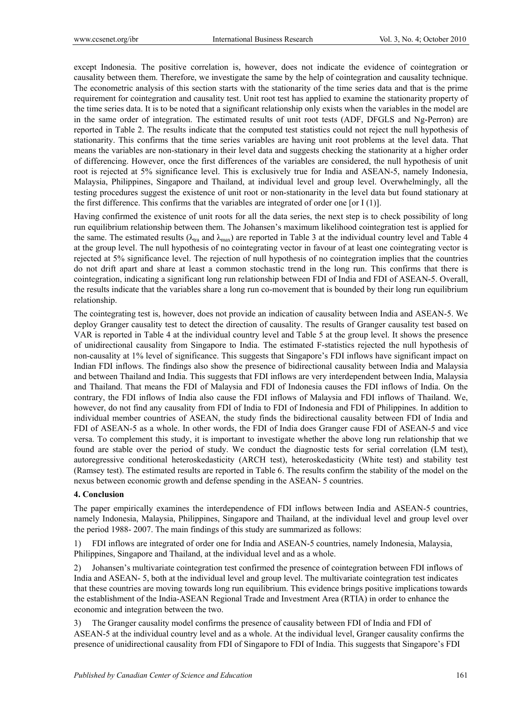except Indonesia. The positive correlation is, however, does not indicate the evidence of cointegration or causality between them. Therefore, we investigate the same by the help of cointegration and causality technique. The econometric analysis of this section starts with the stationarity of the time series data and that is the prime requirement for cointegration and causality test. Unit root test has applied to examine the stationarity property of the time series data. It is to be noted that a significant relationship only exists when the variables in the model are in the same order of integration. The estimated results of unit root tests (ADF, DFGLS and Ng-Perron) are reported in Table 2. The results indicate that the computed test statistics could not reject the null hypothesis of stationarity. This confirms that the time series variables are having unit root problems at the level data. That means the variables are non-stationary in their level data and suggests checking the stationarity at a higher order of differencing. However, once the first differences of the variables are considered, the null hypothesis of unit root is rejected at 5% significance level. This is exclusively true for India and ASEAN-5, namely Indonesia, Malaysia, Philippines, Singapore and Thailand, at individual level and group level. Overwhelmingly, all the testing procedures suggest the existence of unit root or non-stationarity in the level data but found stationary at the first difference. This confirms that the variables are integrated of order one [or I (1)].

Having confirmed the existence of unit roots for all the data series, the next step is to check possibility of long run equilibrium relationship between them. The Johansen's maximum likelihood cointegration test is applied for the same. The estimated results ( $\lambda_{\text{tra}}$  and  $\lambda_{\text{max}}$ ) are reported in Table 3 at the individual country level and Table 4 at the group level. The null hypothesis of no cointegrating vector in favour of at least one cointegrating vector is rejected at 5% significance level. The rejection of null hypothesis of no cointegration implies that the countries do not drift apart and share at least a common stochastic trend in the long run. This confirms that there is cointegration, indicating a significant long run relationship between FDI of India and FDI of ASEAN-5. Overall, the results indicate that the variables share a long run co-movement that is bounded by their long run equilibrium relationship.

The cointegrating test is, however, does not provide an indication of causality between India and ASEAN-5. We deploy Granger causality test to detect the direction of causality. The results of Granger causality test based on VAR is reported in Table 4 at the individual country level and Table 5 at the group level. It shows the presence of unidirectional causality from Singapore to India. The estimated F-statistics rejected the null hypothesis of non-causality at 1% level of significance. This suggests that Singapore's FDI inflows have significant impact on Indian FDI inflows. The findings also show the presence of bidirectional causality between India and Malaysia and between Thailand and India. This suggests that FDI inflows are very interdependent between India, Malaysia and Thailand. That means the FDI of Malaysia and FDI of Indonesia causes the FDI inflows of India. On the contrary, the FDI inflows of India also cause the FDI inflows of Malaysia and FDI inflows of Thailand. We, however, do not find any causality from FDI of India to FDI of Indonesia and FDI of Philippines. In addition to individual member countries of ASEAN, the study finds the bidirectional causality between FDI of India and FDI of ASEAN-5 as a whole. In other words, the FDI of India does Granger cause FDI of ASEAN-5 and vice versa. To complement this study, it is important to investigate whether the above long run relationship that we found are stable over the period of study. We conduct the diagnostic tests for serial correlation (LM test), autoregressive conditional heteroskedasticity (ARCH test), heteroskedasticity (White test) and stability test (Ramsey test). The estimated results are reported in Table 6. The results confirm the stability of the model on the nexus between economic growth and defense spending in the ASEAN- 5 countries.

## **4. Conclusion**

The paper empirically examines the interdependence of FDI inflows between India and ASEAN-5 countries, namely Indonesia, Malaysia, Philippines, Singapore and Thailand, at the individual level and group level over the period 1988- 2007. The main findings of this study are summarized as follows:

1) FDI inflows are integrated of order one for India and ASEAN-5 countries, namely Indonesia, Malaysia, Philippines, Singapore and Thailand, at the individual level and as a whole.

2) Johansen's multivariate cointegration test confirmed the presence of cointegration between FDI inflows of India and ASEAN- 5, both at the individual level and group level. The multivariate cointegration test indicates that these countries are moving towards long run equilibrium. This evidence brings positive implications towards the establishment of the India-ASEAN Regional Trade and Investment Area (RTIA) in order to enhance the economic and integration between the two.

3) The Granger causality model confirms the presence of causality between FDI of India and FDI of ASEAN-5 at the individual country level and as a whole. At the individual level, Granger causality confirms the presence of unidirectional causality from FDI of Singapore to FDI of India. This suggests that Singapore's FDI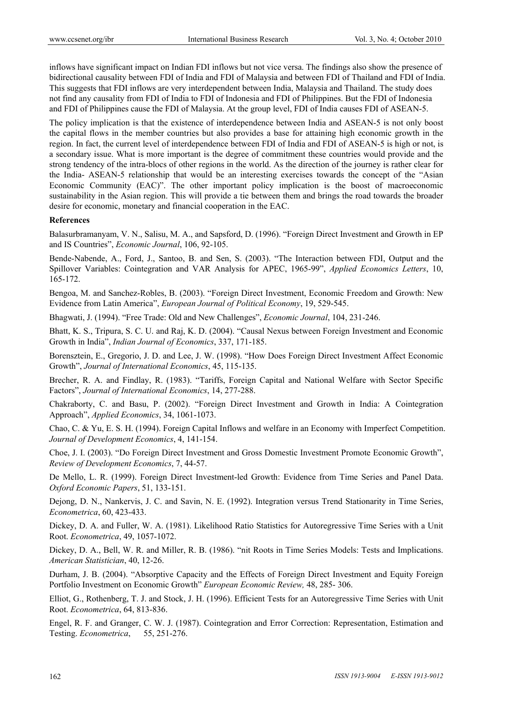inflows have significant impact on Indian FDI inflows but not vice versa. The findings also show the presence of bidirectional causality between FDI of India and FDI of Malaysia and between FDI of Thailand and FDI of India. This suggests that FDI inflows are very interdependent between India, Malaysia and Thailand. The study does not find any causality from FDI of India to FDI of Indonesia and FDI of Philippines. But the FDI of Indonesia and FDI of Philippines cause the FDI of Malaysia. At the group level, FDI of India causes FDI of ASEAN-5.

The policy implication is that the existence of interdependence between India and ASEAN-5 is not only boost the capital flows in the member countries but also provides a base for attaining high economic growth in the region. In fact, the current level of interdependence between FDI of India and FDI of ASEAN-5 is high or not, is a secondary issue. What is more important is the degree of commitment these countries would provide and the strong tendency of the intra-blocs of other regions in the world. As the direction of the journey is rather clear for the India- ASEAN-5 relationship that would be an interesting exercises towards the concept of the "Asian Economic Community (EAC)". The other important policy implication is the boost of macroeconomic sustainability in the Asian region. This will provide a tie between them and brings the road towards the broader desire for economic, monetary and financial cooperation in the EAC.

## **References**

Balasurbramanyam, V. N., Salisu, M. A., and Sapsford, D. (1996). "Foreign Direct Investment and Growth in EP and IS Countries", *Economic Journal*, 106, 92-105.

Bende-Nabende, A., Ford, J., Santoo, B. and Sen, S. (2003). "The Interaction between FDI, Output and the Spillover Variables: Cointegration and VAR Analysis for APEC, 1965-99", *Applied Economics Letters*, 10, 165-172.

Bengoa, M. and Sanchez-Robles, B. (2003). "Foreign Direct Investment, Economic Freedom and Growth: New Evidence from Latin America", *European Journal of Political Economy*, 19, 529-545.

Bhagwati, J. (1994). "Free Trade: Old and New Challenges", *Economic Journal*, 104, 231-246.

Bhatt, K. S., Tripura, S. C. U. and Raj, K. D. (2004). "Causal Nexus between Foreign Investment and Economic Growth in India", *Indian Journal of Economics*, 337, 171-185.

Borensztein, E., Gregorio, J. D. and Lee, J. W. (1998). "How Does Foreign Direct Investment Affect Economic Growth", *Journal of International Economics*, 45, 115-135.

Brecher, R. A. and Findlay, R. (1983). "Tariffs, Foreign Capital and National Welfare with Sector Specific Factors", *Journal of International Economics*, 14, 277-288.

Chakraborty, C. and Basu, P. (2002). "Foreign Direct Investment and Growth in India: A Cointegration Approach", *Applied Economics*, 34, 1061-1073.

Chao, C. & Yu, E. S. H. (1994). Foreign Capital Inflows and welfare in an Economy with Imperfect Competition. *Journal of Development Economics*, 4, 141-154.

Choe, J. I. (2003). "Do Foreign Direct Investment and Gross Domestic Investment Promote Economic Growth", *Review of Development Economics*, 7, 44-57.

De Mello, L. R. (1999). Foreign Direct Investment-led Growth: Evidence from Time Series and Panel Data. *Oxford Economic Papers*, 51, 133-151.

Dejong, D. N., Nankervis, J. C. and Savin, N. E. (1992). Integration versus Trend Stationarity in Time Series, *Econometrica*, 60, 423-433.

Dickey, D. A. and Fuller, W. A. (1981). Likelihood Ratio Statistics for Autoregressive Time Series with a Unit Root. *Econometrica*, 49, 1057-1072.

Dickey, D. A., Bell, W. R. and Miller, R. B. (1986). "nit Roots in Time Series Models: Tests and Implications. *American Statistician*, 40, 12-26.

Durham, J. B. (2004). "Absorptive Capacity and the Effects of Foreign Direct Investment and Equity Foreign Portfolio Investment on Economic Growth" *European Economic Review,* 48, 285- 306.

Elliot, G., Rothenberg, T. J. and Stock, J. H. (1996). Efficient Tests for an Autoregressive Time Series with Unit Root. *Econometrica*, 64, 813-836.

Engel, R. F. and Granger, C. W. J. (1987). Cointegration and Error Correction: Representation, Estimation and Testing. *Econometrica*, 55, 251-276.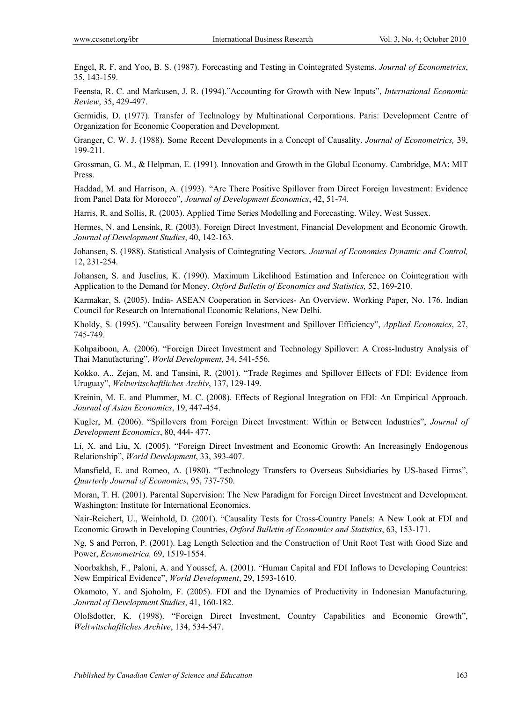Engel, R. F. and Yoo, B. S. (1987). Forecasting and Testing in Cointegrated Systems. *Journal of Econometrics*, 35, 143-159.

Feensta, R. C. and Markusen, J. R. (1994)."Accounting for Growth with New Inputs", *International Economic Review*, 35, 429-497.

Germidis, D. (1977). Transfer of Technology by Multinational Corporations. Paris: Development Centre of Organization for Economic Cooperation and Development.

Granger, C. W. J. (1988). Some Recent Developments in a Concept of Causality. *Journal of Econometrics,* 39, 199-211.

Grossman, G. M., & Helpman, E. (1991). Innovation and Growth in the Global Economy. Cambridge, MA: MIT Press.

Haddad, M. and Harrison, A. (1993). "Are There Positive Spillover from Direct Foreign Investment: Evidence from Panel Data for Morocco", *Journal of Development Economics*, 42, 51-74.

Harris, R. and Sollis, R. (2003). Applied Time Series Modelling and Forecasting. Wiley, West Sussex.

Hermes, N. and Lensink, R. (2003). Foreign Direct Investment, Financial Development and Economic Growth. *Journal of Development Studies*, 40, 142-163.

Johansen, S. (1988). Statistical Analysis of Cointegrating Vectors. *Journal of Economics Dynamic and Control,* 12, 231-254.

Johansen, S. and Juselius, K. (1990). Maximum Likelihood Estimation and Inference on Cointegration with Application to the Demand for Money. *Oxford Bulletin of Economics and Statistics,* 52, 169-210.

Karmakar, S. (2005). India- ASEAN Cooperation in Services- An Overview. Working Paper, No. 176. Indian Council for Research on International Economic Relations, New Delhi.

Kholdy, S. (1995). "Causality between Foreign Investment and Spillover Efficiency", *Applied Economics*, 27, 745-749.

Kohpaiboon, A. (2006). "Foreign Direct Investment and Technology Spillover: A Cross-Industry Analysis of Thai Manufacturing", *World Development*, 34, 541-556.

Kokko, A., Zejan, M. and Tansini, R. (2001). "Trade Regimes and Spillover Effects of FDI: Evidence from Uruguay", *Weltwritschaftliches Archiv*, 137, 129-149.

Kreinin, M. E. and Plummer, M. C. (2008). Effects of Regional Integration on FDI: An Empirical Approach. *Journal of Asian Economics*, 19, 447-454.

Kugler, M. (2006). "Spillovers from Foreign Direct Investment: Within or Between Industries", *Journal of Development Economics*, 80, 444- 477.

Li, X. and Liu, X. (2005). "Foreign Direct Investment and Economic Growth: An Increasingly Endogenous Relationship", *World Development*, 33, 393-407.

Mansfield, E. and Romeo, A. (1980). "Technology Transfers to Overseas Subsidiaries by US-based Firms", *Quarterly Journal of Economics*, 95, 737-750.

Moran, T. H. (2001). Parental Supervision: The New Paradigm for Foreign Direct Investment and Development. Washington: Institute for International Economics.

Nair-Reichert, U., Weinhold, D. (2001). "Causality Tests for Cross-Country Panels: A New Look at FDI and Economic Growth in Developing Countries, *Oxford Bulletin of Economics and Statistics*, 63, 153-171.

Ng, S and Perron, P. (2001). Lag Length Selection and the Construction of Unit Root Test with Good Size and Power, *Econometrica,* 69, 1519-1554.

Noorbakhsh, F., Paloni, A. and Youssef, A. (2001). "Human Capital and FDI Inflows to Developing Countries: New Empirical Evidence", *World Development*, 29, 1593-1610.

Okamoto, Y. and Sjoholm, F. (2005). FDI and the Dynamics of Productivity in Indonesian Manufacturing. *Journal of Development Studies*, 41, 160-182.

Olofsdotter, K. (1998). "Foreign Direct Investment, Country Capabilities and Economic Growth", *Weltwitschaftliches Archive*, 134, 534-547.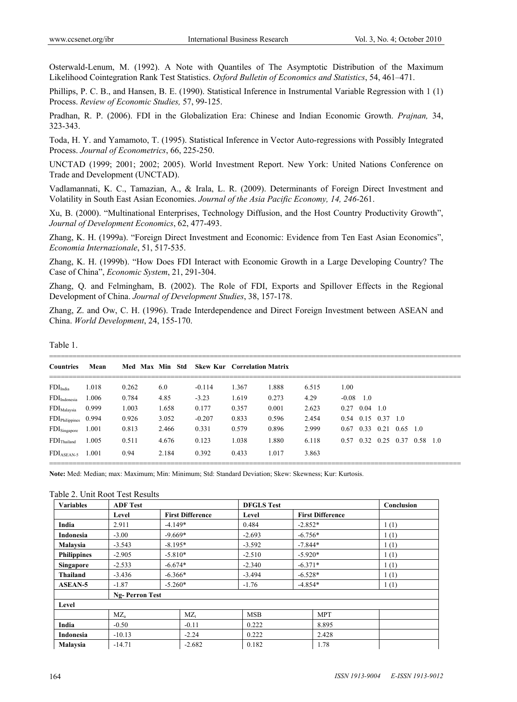Osterwald-Lenum, M. (1992). A Note with Quantiles of The Asymptotic Distribution of the Maximum Likelihood Cointegration Rank Test Statistics. *Oxford Bulletin of Economics and Statistics*, 54, 461–471.

Phillips, P. C. B., and Hansen, B. E. (1990). Statistical Inference in Instrumental Variable Regression with 1 (1) Process. *Review of Economic Studies,* 57, 99-125.

Pradhan, R. P. (2006). FDI in the Globalization Era: Chinese and Indian Economic Growth. *Prajnan,* 34, 323-343.

Toda, H. Y. and Yamamoto, T. (1995). Statistical Inference in Vector Auto-regressions with Possibly Integrated Process. *Journal of Econometrics*, 66, 225-250.

UNCTAD (1999; 2001; 2002; 2005). World Investment Report. New York: United Nations Conference on Trade and Development (UNCTAD).

Vadlamannati, K. C., Tamazian, A., & Irala, L. R. (2009). Determinants of Foreign Direct Investment and Volatility in South East Asian Economies. *Journal of the Asia Pacific Economy, 14, 246-*261.

Xu, B. (2000). "Multinational Enterprises, Technology Diffusion, and the Host Country Productivity Growth", *Journal of Development Economics*, 62, 477-493.

Zhang, K. H. (1999a). "Foreign Direct Investment and Economic: Evidence from Ten East Asian Economics", *Economia Internazionale*, 51, 517-535.

Zhang, K. H. (1999b). "How Does FDI Interact with Economic Growth in a Large Developing Country? The Case of China", *Economic System*, 21, 291-304.

Zhang, Q. and Felmingham, B. (2002). The Role of FDI, Exports and Spillover Effects in the Regional Development of China. *Journal of Development Studies*, 38, 157-178.

Zhang, Z. and Ow, C. H. (1996). Trade Interdependence and Direct Foreign Investment between ASEAN and China. *World Development*, 24, 155-170.

Table 1.

| Countries                  | Mean  |       | Med Max Min Std | <b>Skew Kur</b> Correlation Matrix |       |       |       |         |      |           |      |      |      |
|----------------------------|-------|-------|-----------------|------------------------------------|-------|-------|-------|---------|------|-----------|------|------|------|
| FDI <sub>India</sub>       | 1.018 | 0.262 | 6.0             | $-0.114$                           | - 367 | .888  | 6.515 | L.00    |      |           |      |      |      |
| FDI <sub>Indonesia</sub>   | 1.006 | 0.784 | 4.85            | $-3.23$                            | 1.619 | 0.273 | 4.29  | $-0.08$ | 1.0  |           |      |      |      |
| $FDI_{\text{Malaysia}}$    | 0.999 | .003  | 1.658           | 0.177                              | 0.357 | 0.001 | 2.623 | 0 27    | 0.04 | 1.0       |      |      |      |
| FDI <sub>Philippines</sub> | 0.994 | 0.926 | 3.052           | $-0.207$                           | 0.833 | 0.596 | 2.454 | 0.54    | 0.15 | 0.37      | 10   |      |      |
| FDI <sub>Singapore</sub>   | 1.001 | 0.813 | 2.466           | 0.331                              | 0.579 | 0.896 | 2.999 | 0.67    | 0.33 | 0.21      | 0.65 | 1.0  |      |
| FDI <sub>Thailand</sub>    | 1.005 | 0.511 | 4.676           | 0.123                              | 1.038 | 1.880 | 6.118 | 0.57    | 0.32 | 0.25 0.37 |      | 0.58 | -1.0 |
| FDI <sub>ASEAN-5</sub>     | 1.001 | 0.94  | 2.184           | 0.392                              | 0.433 | 1.017 | 3.863 |         |      |           |      |      |      |

**Note:** Med: Median; max: Maximum; Min: Minimum; Std: Standard Deviation; Skew: Skewness; Kur: Kurtosis.

| Table 2. Unit Root Test Results |  |
|---------------------------------|--|
|---------------------------------|--|

| <b>Variables</b>   | <b>ADF</b> Test       |                         | <b>DFGLS</b> Test |                         | Conclusion |
|--------------------|-----------------------|-------------------------|-------------------|-------------------------|------------|
|                    | Level                 | <b>First Difference</b> | Level             | <b>First Difference</b> |            |
| India              | 2.911                 | $-4.149*$               | 0.484             | $-2.852*$               | 1(1)       |
| Indonesia          | $-3.00$               | $-9.669*$               | $-2.693$          | $-6.756*$               | 1(1)       |
| Malaysia           | $-3.543$              | $-8.195*$               | $-3.592$          | $-7.844*$               | 1(1)       |
| <b>Philippines</b> | $-2.905$              | $-5.810*$               | $-2.510$          | $-5.920*$               | 1(1)       |
| Singapore          | $-2.533$              | $-6.674*$               | $-2.340$          | $-6.371*$               | 1(1)       |
| <b>Thailand</b>    | $-3.436$              | $-6.366*$               | $-3.494$          | $-6.528*$               | 1(1)       |
| <b>ASEAN-5</b>     | $-1.87$               | $-5.260*$               | $-1.76$           | $-4.854*$               | 1(1)       |
|                    | <b>Ng-Perron Test</b> |                         |                   |                         |            |
| Level              |                       |                         |                   |                         |            |
|                    | $MZ_a$                | $MZ_{t}$                | <b>MSB</b>        | <b>MPT</b>              |            |
| India              | $-0.50$               | $-0.11$                 | 0.222             | 8.895                   |            |
| Indonesia          | $-10.13$              | $-2.24$                 | 0.222             | 2.428                   |            |
| Malaysia           | $-14.71$              | $-2.682$                | 0.182             | 1.78                    |            |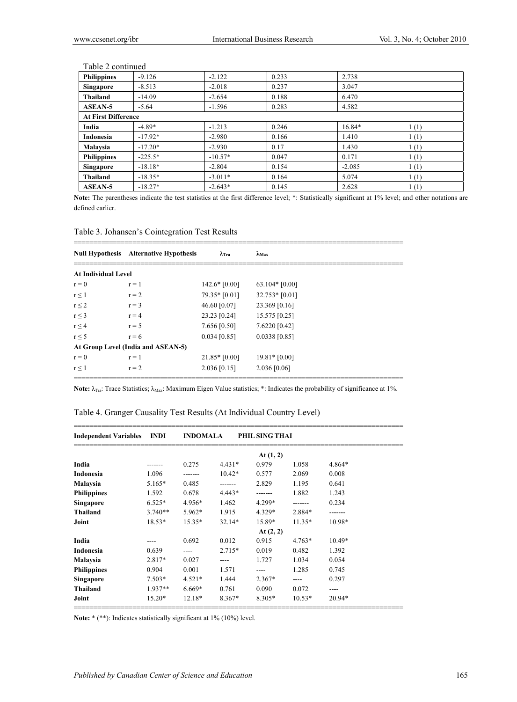| Tavit 2 continued          |           |           |       |          |      |
|----------------------------|-----------|-----------|-------|----------|------|
| <b>Philippines</b>         | $-9.126$  | $-2.122$  | 0.233 | 2.738    |      |
| Singapore                  | $-8.513$  | $-2.018$  | 0.237 | 3.047    |      |
| <b>Thailand</b>            | $-14.09$  | $-2.654$  | 0.188 | 6.470    |      |
| <b>ASEAN-5</b>             | $-5.64$   | $-1.596$  | 0.283 | 4.582    |      |
| <b>At First Difference</b> |           |           |       |          |      |
| India                      | $-4.89*$  | $-1.213$  | 0.246 | 16.84*   | 1(1) |
| Indonesia                  | $-17.92*$ | $-2.980$  | 0.166 | 1.410    | 1(1) |
| Malaysia                   | $-17.20*$ | $-2.930$  | 0.17  | 1.430    | 1(1) |
| <b>Philippines</b>         | $-225.5*$ | $-10.57*$ | 0.047 | 0.171    | 1(1) |
| Singapore                  | $-18.18*$ | $-2.804$  | 0.154 | $-2.085$ | 1(1) |
| <b>Thailand</b>            | $-18.35*$ | $-3.011*$ | 0.164 | 5.074    | 1(1) |
| <b>ASEAN-5</b>             | $-18.27*$ | $-2.643*$ | 0.145 | 2.628    | 1(1) |

Table 2 continued

Note: The parentheses indicate the test statistics at the first difference level; \*: Statistically significant at 1% level; and other notations are defined earlier.

Table 3. Johansen's Cointegration Test Results

|                            | <b>Null Hypothesis</b> Alternative Hypothesis | $\lambda_{\text{Tra}}$ | $\lambda_{\text{Max}}$ |
|----------------------------|-----------------------------------------------|------------------------|------------------------|
| <b>At Individual Level</b> |                                               |                        |                        |
| $r = 0$                    | $r = 1$                                       | $142.6*$ [0.00]        | $63.104*$ [0.00]       |
| $r \leq 1$                 | $r = 2$                                       | $79.35*$ [0.01]        | $32.753*[0.01]$        |
| $r \leq 2$                 | $r = 3$                                       | 46.60 [0.07]           | 23.369 [0.16]          |
| r < 3                      | $r = 4$                                       | 23.23 [0.24]           | 15.575 [0.25]          |
| $r \leq 4$                 | $r = 5$                                       | $7.656$ [0.50]         | $7.6220$ [0.42]        |
| $r \leq 5$                 | $r = 6$                                       | $0.034$ [0.85]         | $0.0338$ [0.85]        |
|                            | At Group Level (India and ASEAN-5)            |                        |                        |
| $r = 0$                    | $r = 1$                                       | $21.85*$ [0.00]        | $19.81*$ [0.00]        |
| r < 1                      | $r = 2$                                       | $2.036$ [0.15]         | $2.036$ [0.06]         |

Note: λ<sub>Tra</sub>: Trace Statistics; λ<sub>Max</sub>: Maximum Eigen Value statistics; \*: Indicates the probability of significance at 1%.

| <b>Independent Variables</b> | <b>INDI</b> | <b>INDOMALA</b> |          | PHIL SING THAI |          |          |  |
|------------------------------|-------------|-----------------|----------|----------------|----------|----------|--|
|                              |             |                 |          | At $(1, 2)$    |          |          |  |
| India                        |             | 0.275           | $4.431*$ | 0.979          | 1.058    | 4.864*   |  |
| Indonesia                    | 1.096       | -------         | $10.42*$ | 0.577          | 2.069    | 0.008    |  |
| Malaysia                     | $5.165*$    | 0.485           |          | 2.829          | 1.195    | 0.641    |  |
| <b>Philippines</b>           | 1.592       | 0.678           | $4.443*$ | -------        | 1.882    | 1.243    |  |
| <b>Singapore</b>             | $6.525*$    | 4.956*          | 1.462    | 4.299*         | -------  | 0.234    |  |
| <b>Thailand</b>              | $3.740**$   | $5.962*$        | 1.915    | $4.329*$       | 2.884*   |          |  |
| Joint                        | 18.53*      | $15.35*$        | $32.14*$ | 15.89*         | $11.35*$ | 10.98*   |  |
|                              |             |                 |          | At $(2, 2)$    |          |          |  |
| India                        |             | 0.692           | 0.012    | 0.915          | $4.763*$ | $10.49*$ |  |
| Indonesia                    | 0.639       | $- - - -$       | $2.715*$ | 0.019          | 0.482    | 1.392    |  |
| Malaysia                     | 2.817*      | 0.027           |          | 1.727          | 1.034    | 0.054    |  |
| <b>Philippines</b>           | 0.904       | 0.001           | 1.571    | ----           | 1.285    | 0.745    |  |
| <b>Singapore</b>             | $7.503*$    | $4.521*$        | 1.444    | $2.367*$       | ----     | 0.297    |  |
| <b>Thailand</b>              | $1.937**$   | $6.669*$        | 0.761    | 0.090          | 0.072    | ----     |  |
| Joint                        | $15.20*$    | 12.18*          | $8.367*$ | $8.305*$       | $10.53*$ | $20.94*$ |  |

Table 4. Granger Causality Test Results (At Individual Country Level)

Note: \* (\*\*): Indicates statistically significant at 1% (10%) level.